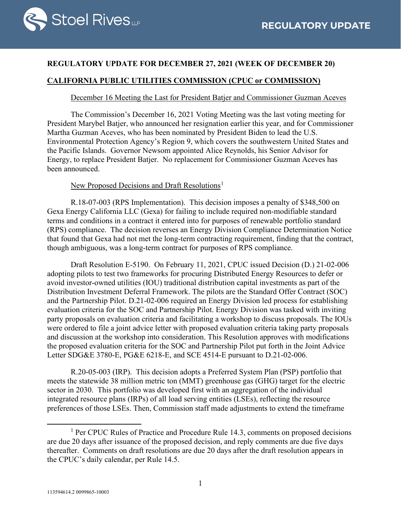

### **REGULATORY UPDATE FOR DECEMBER 27, 2021 (WEEK OF DECEMBER 20)**

# **CALIFORNIA PUBLIC UTILITIES COMMISSION (CPUC or COMMISSION)**

#### December 16 Meeting the Last for President Batjer and Commissioner Guzman Aceves

The Commission's December 16, 2021 Voting Meeting was the last voting meeting for President Marybel Batjer, who announced her resignation earlier this year, and for Commissioner Martha Guzman Aceves, who has been nominated by President Biden to lead the U.S. Environmental Protection Agency's Region 9, which covers the southwestern United States and the Pacific Islands. Governor Newsom appointed Alice Reynolds, his Senior Advisor for Energy, to replace President Batjer. No replacement for Commissioner Guzman Aceves has been announced.

### New Proposed Decisions and Draft Resolutions<sup>[1](#page-0-0)</sup>

R.18-07-003 (RPS Implementation). This decision imposes a penalty of \$348,500 on Gexa Energy California LLC (Gexa) for failing to include required non-modifiable standard terms and conditions in a contract it entered into for purposes of renewable portfolio standard (RPS) compliance. The decision reverses an Energy Division Compliance Determination Notice that found that Gexa had not met the long-term contracting requirement, finding that the contract, though ambiguous, was a long-term contract for purposes of RPS compliance.

Draft Resolution E-5190. On February 11, 2021, CPUC issued Decision (D.) 21-02-006 adopting pilots to test two frameworks for procuring Distributed Energy Resources to defer or avoid investor-owned utilities (IOU) traditional distribution capital investments as part of the Distribution Investment Deferral Framework. The pilots are the Standard Offer Contract (SOC) and the Partnership Pilot. D.21-02-006 required an Energy Division led process for establishing evaluation criteria for the SOC and Partnership Pilot. Energy Division was tasked with inviting party proposals on evaluation criteria and facilitating a workshop to discuss proposals. The IOUs were ordered to file a joint advice letter with proposed evaluation criteria taking party proposals and discussion at the workshop into consideration. This Resolution approves with modifications the proposed evaluation criteria for the SOC and Partnership Pilot put forth in the Joint Advice Letter SDG&E 3780-E, PG&E 6218-E, and SCE 4514-E pursuant to D.21-02-006.

R.20-05-003 (IRP). This decision adopts a Preferred System Plan (PSP) portfolio that meets the statewide 38 million metric ton (MMT) greenhouse gas (GHG) target for the electric sector in 2030. This portfolio was developed first with an aggregation of the individual integrated resource plans (IRPs) of all load serving entities (LSEs), reflecting the resource preferences of those LSEs. Then, Commission staff made adjustments to extend the timeframe

<span id="page-0-0"></span><sup>&</sup>lt;sup>1</sup> Per CPUC Rules of Practice and Procedure Rule 14.3, comments on proposed decisions are due 20 days after issuance of the proposed decision, and reply comments are due five days thereafter. Comments on draft resolutions are due 20 days after the draft resolution appears in the CPUC's daily calendar, per Rule 14.5.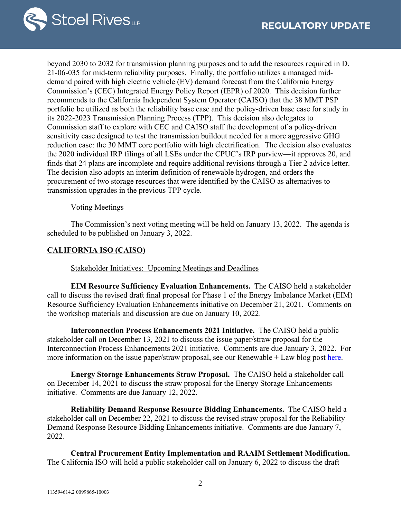

beyond 2030 to 2032 for transmission planning purposes and to add the resources required in D. 21-06-035 for mid-term reliability purposes. Finally, the portfolio utilizes a managed middemand paired with high electric vehicle (EV) demand forecast from the California Energy Commission's (CEC) Integrated Energy Policy Report (IEPR) of 2020. This decision further recommends to the California Independent System Operator (CAISO) that the 38 MMT PSP portfolio be utilized as both the reliability base case and the policy-driven base case for study in its 2022-2023 Transmission Planning Process (TPP). This decision also delegates to Commission staff to explore with CEC and CAISO staff the development of a policy-driven sensitivity case designed to test the transmission buildout needed for a more aggressive GHG reduction case: the 30 MMT core portfolio with high electrification. The decision also evaluates the 2020 individual IRP filings of all LSEs under the CPUC's IRP purview—it approves 20, and finds that 24 plans are incomplete and require additional revisions through a Tier 2 advice letter. The decision also adopts an interim definition of renewable hydrogen, and orders the procurement of two storage resources that were identified by the CAISO as alternatives to transmission upgrades in the previous TPP cycle.

#### Voting Meetings

The Commission's next voting meeting will be held on January 13, 2022. The agenda is scheduled to be published on January 3, 2022.

#### **CALIFORNIA ISO (CAISO)**

Stakeholder Initiatives: Upcoming Meetings and Deadlines

**EIM Resource Sufficiency Evaluation Enhancements.** The CAISO held a stakeholder call to discuss the revised draft final proposal for Phase 1 of the Energy Imbalance Market (EIM) Resource Sufficiency Evaluation Enhancements initiative on December 21, 2021. Comments on the workshop materials and discussion are due on January 10, 2022.

**Interconnection Process Enhancements 2021 Initiative.** The CAISO held a public stakeholder call on December 13, 2021 to discuss the issue paper/straw proposal for the Interconnection Process Enhancements 2021 initiative. Comments are due January 3, 2022. For more information on the issue paper/straw proposal, see our Renewable  $+$  Law blog post [here.](https://www.lawofrenewableenergy.com/2021/12/articles/california/california-iso-issues-straw-proposal-in-interconnection-process-enhancements-stakeholder-proceeding/)

**Energy Storage Enhancements Straw Proposal.** The CAISO held a stakeholder call on December 14, 2021 to discuss the straw proposal for the Energy Storage Enhancements initiative. Comments are due January 12, 2022.

**Reliability Demand Response Resource Bidding Enhancements.** The CAISO held a stakeholder call on December 22, 2021 to discuss the revised straw proposal for the Reliability Demand Response Resource Bidding Enhancements initiative. Comments are due January 7, 2022.

**Central Procurement Entity Implementation and RAAIM Settlement Modification.** The California ISO will hold a public stakeholder call on January 6, 2022 to discuss the draft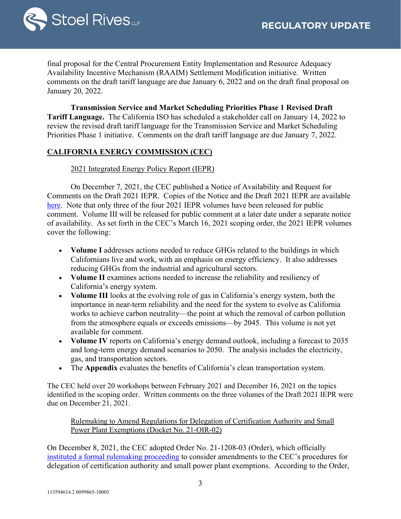

final proposal for the Central Procurement Entity Implementation and Resource Adequacy Availability Incentive Mechanism (RAAIM) Settlement Modification initiative. Written comments on the draft tariff language are due January 6, 2022 and on the draft final proposal on January 20, 2022.

**Transmission Service and Market Scheduling Priorities Phase 1 Revised Draft Tariff Language.** The California ISO has scheduled a stakeholder call on January 14, 2022 to review the revised draft tariff language for the Transmission Service and Market Scheduling Priorities Phase 1 initiative. Comments on the draft tariff language are due January 7, 2022.

# **CALIFORNIA ENERGY COMMISSION (CEC)**

#### 2021 Integrated Energy Policy Report (IEPR)

On December 7, 2021, the CEC published a Notice of Availability and Request for Comments on the Draft 2021 IEPR. Copies of the Notice and the Draft 2021 IEPR are available [here.](https://www.energy.ca.gov/data-reports/reports/integrated-energy-policy-report/2021-integrated-energy-policy-report) Note that only three of the four 2021 IEPR volumes have been released for public comment. Volume III will be released for public comment at a later date under a separate notice of availability. As set forth in the CEC's March 16, 2021 scoping order, the 2021 IEPR volumes cover the following:

- **Volume I** addresses actions needed to reduce GHGs related to the buildings in which Californians live and work, with an emphasis on energy efficiency. It also addresses reducing GHGs from the industrial and agricultural sectors.
- **Volume II** examines actions needed to increase the reliability and resiliency of California's energy system.
- **Volume III** looks at the evolving role of gas in California's energy system, both the importance in near-term reliability and the need for the system to evolve as California works to achieve carbon neutrality—the point at which the removal of carbon pollution from the atmosphere equals or exceeds emissions—by 2045. This volume is not yet available for comment.
- **Volume IV** reports on California's energy demand outlook, including a forecast to 2035 and long-term energy demand scenarios to 2050. The analysis includes the electricity, gas, and transportation sectors.
- The **Appendix** evaluates the benefits of California's clean transportation system.

The CEC held over 20 workshops between February 2021 and December 16, 2021 on the topics identified in the scoping order. Written comments on the three volumes of the Draft 2021 IEPR were due on December 21, 2021.

Rulemaking to Amend Regulations for Delegation of Certification Authority and Small Power Plant Exemptions (Docket No. 21-OIR-02)

On December 8, 2021, the CEC adopted Order No. 21-1208-03 (Order), which officially [instituted a formal rulemaking proceeding](https://efiling.energy.ca.gov/Lists/DocketLog.aspx?docketnumber=21-OIR-02) to consider amendments to the CEC's procedures for delegation of certification authority and small power plant exemptions. According to the Order,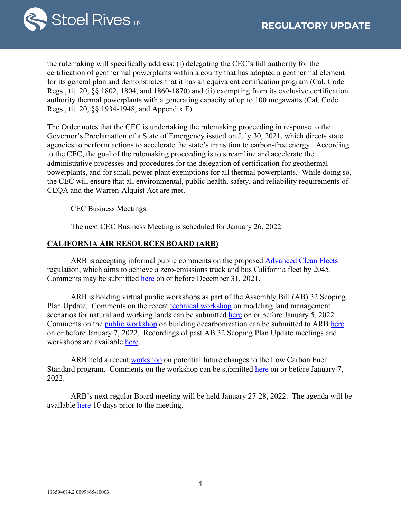

the rulemaking will specifically address: (i) delegating the CEC's full authority for the certification of geothermal powerplants within a county that has adopted a geothermal element for its general plan and demonstrates that it has an equivalent certification program (Cal. Code Regs., tit. 20, §§ 1802, 1804, and 1860-1870) and (ii) exempting from its exclusive certification authority thermal powerplants with a generating capacity of up to 100 megawatts (Cal. Code Regs., tit. 20, §§ 1934-1948, and Appendix F).

The Order notes that the CEC is undertaking the rulemaking proceeding in response to the Governor's Proclamation of a State of Emergency issued on July 30, 2021, which directs state agencies to perform actions to accelerate the state's transition to carbon-free energy. According to the CEC, the goal of the rulemaking proceeding is to streamline and accelerate the administrative processes and procedures for the delegation of certification for geothermal powerplants, and for small power plant exemptions for all thermal powerplants. While doing so, the CEC will ensure that all environmental, public health, safety, and reliability requirements of CEQA and the Warren-Alquist Act are met.

CEC Business Meetings

The next CEC Business Meeting is scheduled for January 26, 2022.

#### **CALIFORNIA AIR RESOURCES BOARD (ARB)**

ARB is accepting informal public comments on the proposed [Advanced Clean Fleets](https://ww2.arb.ca.gov/our-work/programs/advanced-clean-fleets) regulation, which aims to achieve a zero-emissions truck and bus California fleet by 2045. Comments may be submitted [here](https://www.arb.ca.gov/lispub/comm/bclist.php) on or before December 31, 2021.

ARB is holding virtual public workshops as part of the Assembly Bill (AB) 32 Scoping Plan Update. Comments on the recent technical [workshop](https://ww2.arb.ca.gov/events/public-workshop-2022-scoping-plan-update-natural-and-working-lands-scenarios-technical) on modeling land management scenarios for natural and working lands can be submitted [here](https://www.arb.ca.gov/lispub/comm/bclist.php) on or before January 5, 2022. Comments on the [public workshop](https://ww2.arb.ca.gov/events/sp22-buildings-ws) on building decarbonization can be submitted to ARB [here](https://www.arb.ca.gov/lispub/comm/bclist.php) on or before January 7, 2022. Recordings of past AB 32 Scoping Plan Update meetings and workshops are available [here.](https://ww2.arb.ca.gov/our-work/programs/ab-32-climate-change-scoping-plan/scoping-plan-meetings-workshops)

ARB held a recent [workshop](https://ww2.arb.ca.gov/our-work/programs/low-carbon-fuel-standard/lcfs-meetings-and-workshops) on potential future changes to the Low Carbon Fuel Standard program. Comments on the workshop can be submitted [here](https://www.arb.ca.gov/lispub/comm/bclist.php) on or before January 7, 2022.

ARB's next regular Board meeting will be held January 27-28, 2022. The agenda will be available [here](https://ww2.arb.ca.gov/ma012722) 10 days prior to the meeting.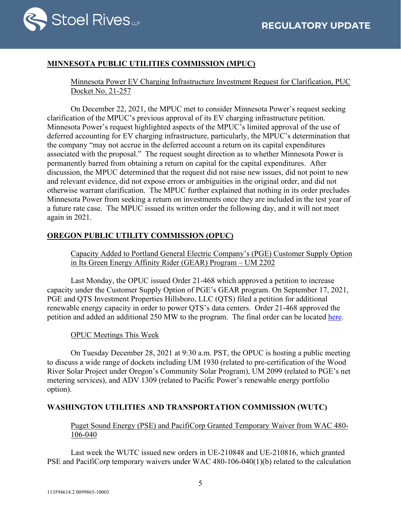

# **MINNESOTA PUBLIC UTILITIES COMMISSION (MPUC)**

Minnesota Power EV Charging Infrastructure Investment Request for Clarification, PUC Docket No. 21-257

On December 22, 2021, the MPUC met to consider Minnesota Power's request seeking clarification of the MPUC's previous approval of its EV charging infrastructure petition. Minnesota Power's request highlighted aspects of the MPUC's limited approval of the use of deferred accounting for EV charging infrastructure, particularly, the MPUC's determination that the company "may not accrue in the deferred account a return on its capital expenditures associated with the proposal." The request sought direction as to whether Minnesota Power is permanently barred from obtaining a return on capital for the capital expenditures. After discussion, the MPUC determined that the request did not raise new issues, did not point to new and relevant evidence, did not expose errors or ambiguities in the original order, and did not otherwise warrant clarification. The MPUC further explained that nothing in its order precludes Minnesota Power from seeking a return on investments once they are included in the test year of a future rate case. The MPUC issued its written order the following day, and it will not meet again in 2021.

# **OREGON PUBLIC UTILITY COMMISSION (OPUC)**

Capacity Added to Portland General Electric Company's (PGE) Customer Supply Option in Its Green Energy Affinity Rider (GEAR) Program – UM 2202

Last Monday, the OPUC issued Order 21-468 which approved a petition to increase capacity under the Customer Supply Option of PGE's GEAR program. On September 17, 2021, PGE and QTS Investment Properties Hillsboro, LLC (QTS) filed a petition for additional renewable energy capacity in order to power QTS's data centers. Order 21-468 approved the petition and added an additional 250 MW to the program. The final order can be located [here.](https://apps.puc.state.or.us/orders/2021ords/21-468.pdf)

# OPUC Meetings This Week

On Tuesday December 28, 2021 at 9:30 a.m. PST, the OPUC is hosting a public meeting to discuss a wide range of dockets including UM 1930 (related to pre-certification of the Wood River Solar Project under Oregon's Community Solar Program), UM 2099 (related to PGE's net metering services), and ADV 1309 (related to Pacific Power's renewable energy portfolio option).

# **WASHINGTON UTILITIES AND TRANSPORTATION COMMISSION (WUTC)**

Puget Sound Energy (PSE) and PacifiCorp Granted Temporary Waiver from WAC 480- 106-040

Last week the WUTC issued new orders in UE-210848 and UE-210816, which granted PSE and PacifiCorp temporary waivers under WAC 480-106-040(1)(b) related to the calculation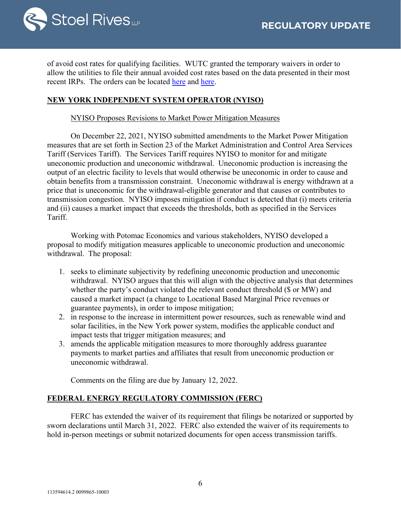

of avoid cost rates for qualifying facilities. WUTC granted the temporary waivers in order to allow the utilities to file their annual avoided cost rates based on the data presented in their most recent IRPs. The orders can be located [here](https://apiproxy.utc.wa.gov/cases/GetDocument?docID=18&year=2021&docketNumber=210816) and [here.](https://apiproxy.utc.wa.gov/cases/GetDocument?docID=14&year=2021&docketNumber=210848)

### **NEW YORK INDEPENDENT SYSTEM OPERATOR (NYISO)**

#### NYISO Proposes Revisions to Market Power Mitigation Measures

On December 22, 2021, NYISO submitted amendments to the Market Power Mitigation measures that are set forth in Section 23 of the Market Administration and Control Area Services Tariff (Services Tariff). The Services Tariff requires NYISO to monitor for and mitigate uneconomic production and uneconomic withdrawal. Uneconomic production is increasing the output of an electric facility to levels that would otherwise be uneconomic in order to cause and obtain benefits from a transmission constraint. Uneconomic withdrawal is energy withdrawn at a price that is uneconomic for the withdrawal-eligible generator and that causes or contributes to transmission congestion. NYISO imposes mitigation if conduct is detected that (i) meets criteria and (ii) causes a market impact that exceeds the thresholds, both as specified in the Services Tariff.

Working with Potomac Economics and various stakeholders, NYISO developed a proposal to modify mitigation measures applicable to uneconomic production and uneconomic withdrawal. The proposal:

- 1. seeks to eliminate subjectivity by redefining uneconomic production and uneconomic withdrawal. NYISO argues that this will align with the objective analysis that determines whether the party's conduct violated the relevant conduct threshold (\$ or MW) and caused a market impact (a change to Locational Based Marginal Price revenues or guarantee payments), in order to impose mitigation;
- 2. in response to the increase in intermittent power resources, such as renewable wind and solar facilities, in the New York power system, modifies the applicable conduct and impact tests that trigger mitigation measures; and
- 3. amends the applicable mitigation measures to more thoroughly address guarantee payments to market parties and affiliates that result from uneconomic production or uneconomic withdrawal.

Comments on the filing are due by January 12, 2022.

#### **FEDERAL ENERGY REGULATORY COMMISSION (FERC)**

FERC has extended the waiver of its requirement that filings be notarized or supported by sworn declarations until March 31, 2022. FERC also extended the waiver of its requirements to hold in-person meetings or submit notarized documents for open access transmission tariffs.